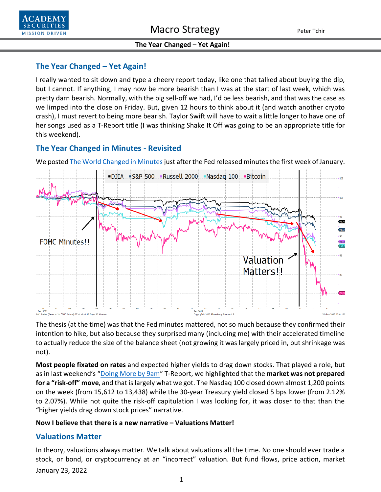

## **The Year Changed – Yet Again!**

I really wanted to sit down and type a cheery report today, like one that talked about buying the dip, but I cannot. If anything, I may now be more bearish than I was at the start of last week, which was pretty darn bearish. Normally, with the big sell-off we had, I'd be less bearish, and that was the case as we limped into the close on Friday. But, given 12 hours to think about it (and watch another crypto crash), I must revert to being more bearish. Taylor Swift will have to wait a little longer to have one of her songs used as a T-Report title (I was thinking Shake It Off was going to be an appropriate title for this weekend).

## **The Year Changed in Minutes - Revisited**

We posted The World Changed in Minutes just after the Fed released minutes the first week of January.



The thesis (at the time) was that the Fed minutes mattered, not so much because they confirmed their intention to hike, but also because they surprised many (including me) with their accelerated timeline to actually reduce the size of the balance sheet (not growing it was largely priced in, but shrinkage was not).

**Most people fixated on rates** and expected higher yields to drag down stocks. That played a role, but as in last weekend's ["Doing More by 9am"](https://www.academysecurities.com/wordpress/wp-content/uploads/2022/01/We-Do-More-By-9am-Than-Most....pdf) T-Report, we highlighted that the **market was not prepared for a "risk-off" move**, and that is largely what we got. The Nasdaq 100 closed down almost 1,200 points on the week (from 15,612 to 13,438) while the 30-year Treasury yield closed 5 bps lower (from 2.12% to 2.07%). While not quite the risk-off capitulation I was looking for, it was closer to that than the "higher yields drag down stock prices" narrative.

### **Now I believe that there is a new narrative – Valuations Matter!**

### **Valuations Matter**

January 23, 2022 In theory, valuations always matter. We talk about valuations all the time. No one should ever trade a stock, or bond, or cryptocurrency at an "incorrect" valuation. But fund flows, price action, market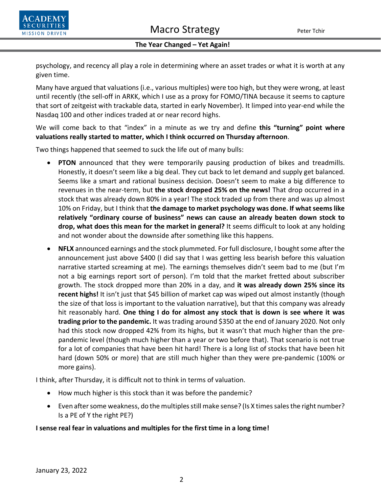

psychology, and recency all play a role in determining where an asset trades or what it is worth at any given time.

Many have argued that valuations (i.e., various multiples) were too high, but they were wrong, at least until recently (the sell-off in ARKK, which I use as a proxy for FOMO/TINA because it seems to capture that sort of zeitgeist with trackable data, started in early November). It limped into year-end while the Nasdaq 100 and other indices traded at or near record highs.

We will come back to that "index" in a minute as we try and define **this "turning" point where valuations really started to matter, which I think occurred on Thursday afternoon**.

Two things happened that seemed to suck the life out of many bulls:

- **PTON** announced that they were temporarily pausing production of bikes and treadmills. Honestly, it doesn't seem like a big deal. They cut back to let demand and supply get balanced. Seems like a smart and rational business decision. Doesn't seem to make a big difference to revenues in the near-term, but **the stock dropped 25% on the news!** That drop occurred in a stock that was already down 80% in a year! The stock traded up from there and was up almost 10% on Friday, but I think that **the damage to market psychology was done. If what seems like relatively "ordinary course of business" news can cause an already beaten down stock to drop, what does this mean for the market in general?** It seems difficult to look at any holding and not wonder about the downside after something like this happens.
- **NFLX** announced earnings and the stock plummeted. For full disclosure, I bought some after the announcement just above \$400 (I did say that I was getting less bearish before this valuation narrative started screaming at me). The earnings themselves didn't seem bad to me (but I'm not a big earnings report sort of person). I'm told that the market fretted about subscriber growth. The stock dropped more than 20% in a day, and **it was already down 25% since its recent highs!** It isn't just that \$45 billion of market cap was wiped out almost instantly (though the size of that loss is important to the valuation narrative), but that this company was already hit reasonably hard. **One thing I do for almost any stock that is down is see where it was trading prior to the pandemic.** It was trading around \$350 at the end of January 2020. Not only had this stock now dropped 42% from its highs, but it wasn't that much higher than the prepandemic level (though much higher than a year or two before that). That scenario is not true for a lot of companies that have been hit hard! There is a long list of stocks that have been hit hard (down 50% or more) that are still much higher than they were pre-pandemic (100% or more gains).

I think, after Thursday, it is difficult not to think in terms of valuation.

- How much higher is this stock than it was before the pandemic?
- Even after some weakness, do the multiples still make sense? (Is X times sales the right number? Is a PE of Y the right PE?)

### **I sense real fear in valuations and multiples for the first time in a long time!**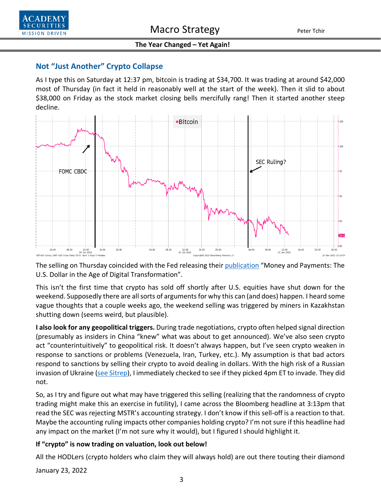

## **Not "Just Another" Crypto Collapse**

As I type this on Saturday at 12:37 pm, bitcoin is trading at \$34,700. It was trading at around \$42,000 most of Thursday (in fact it held in reasonably well at the start of the week). Then it slid to about \$38,000 on Friday as the stock market closing bells mercifully rang! Then it started another steep decline.



The selling on Thursday coincided with the Fed releasing thei[r publication](https://www.federalreserve.gov/publications/money-and-payments-discussion-paper.htm) "Money and Payments: The U.S. Dollar in the Age of Digital Transformation".

This isn't the first time that crypto has sold off shortly after U.S. equities have shut down for the weekend. Supposedly there are all sorts of arguments for why this can (and does) happen. I heard some vague thoughts that a couple weeks ago, the weekend selling was triggered by miners in Kazakhstan shutting down (seems weird, but plausible).

**I also look for any geopolitical triggers.** During trade negotiations, crypto often helped signal direction (presumably as insiders in China "knew" what was about to get announced). We've also seen crypto act "counterintuitively" to geopolitical risk. It doesn't always happen, but I've seen crypto weaken in response to sanctions or problems (Venezuela, Iran, Turkey, etc.). My assumption is that bad actors respond to sanctions by selling their crypto to avoid dealing in dollars. With the high risk of a Russian invasion of Ukraine [\(see Sitrep\)](https://www.academysecurities.com/russia-on-the-warpath/), I immediately checked to see if they picked 4pm ET to invade. They did not.

So, as I try and figure out what may have triggered this selling (realizing that the randomness of crypto trading might make this an exercise in futility), I came across the Bloomberg headline at 3:13pm that read the SEC was rejecting MSTR's accounting strategy. I don't know if this sell-off is a reaction to that. Maybe the accounting ruling impacts other companies holding crypto? I'm not sure if this headline had any impact on the market (I'm not sure why it would), but I figured I should highlight it.

### **If "crypto" is now trading on valuation, look out below!**

All the HODLers (crypto holders who claim they will always hold) are out there touting their diamond

January 23, 2022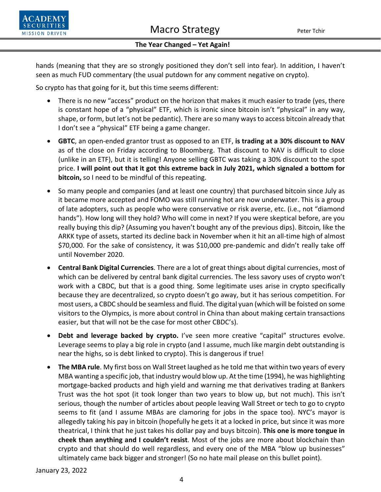

hands (meaning that they are so strongly positioned they don't sell into fear). In addition, I haven't seen as much FUD commentary (the usual putdown for any comment negative on crypto).

So crypto has that going for it, but this time seems different:

- There is no new "access" product on the horizon that makes it much easier to trade (yes, there is constant hope of a "physical" ETF, which is ironic since bitcoin isn't "physical" in any way, shape, or form, but let's not be pedantic). There are so many ways to access bitcoin already that I don't see a "physical" ETF being a game changer.
- **GBTC**, an open-ended grantor trust as opposed to an ETF, **is trading at a 30% discount to NAV** as of the close on Friday according to Bloomberg. That discount to NAV is difficult to close (unlike in an ETF), but it is telling! Anyone selling GBTC was taking a 30% discount to the spot price. **I will point out that it got this extreme back in July 2021, which signaled a bottom for bitcoin,** so I need to be mindful of this repeating.
- So many people and companies (and at least one country) that purchased bitcoin since July as it became more accepted and FOMO was still running hot are now underwater. This is a group of late adopters, such as people who were conservative or risk averse, etc. (i.e., not "diamond hands"). How long will they hold? Who will come in next? If you were skeptical before, are you really buying this dip? (Assuming you haven't bought any of the previous dips). Bitcoin, like the ARKK type of assets, started its decline back in November when it hit an all-time high of almost \$70,000. For the sake of consistency, it was \$10,000 pre-pandemic and didn't really take off until November 2020.
- **Central Bank Digital Currencies**. There are a lot of great things about digital currencies, most of which can be delivered by central bank digital currencies. The less savory uses of crypto won't work with a CBDC, but that is a good thing. Some legitimate uses arise in crypto specifically because they are decentralized, so crypto doesn't go away, but it has serious competition. For most users, a CBDC should be seamless and fluid. The digital yuan (which will be foisted on some visitors to the Olympics, is more about control in China than about making certain transactions easier, but that will not be the case for most other CBDC's).
- **Debt and leverage backed by crypto.** I've seen more creative "capital" structures evolve. Leverage seems to play a big role in crypto (and I assume, much like margin debt outstanding is near the highs, so is debt linked to crypto). This is dangerous if true!
- **The MBA rule**. My first boss on Wall Street laughed as he told me that within two years of every MBA wanting a specific job, that industry would blow up. At the time (1994), he was highlighting mortgage-backed products and high yield and warning me that derivatives trading at Bankers Trust was the hot spot (it took longer than two years to blow up, but not much). This isn't serious, though the number of articles about people leaving Wall Street or tech to go to crypto seems to fit (and I assume MBAs are clamoring for jobs in the space too). NYC's mayor is allegedly taking his pay in bitcoin (hopefully he gets it at a locked in price, but since it was more theatrical, I think that he just takes his dollar pay and buys bitcoin). **This one is more tongue in cheek than anything and I couldn't resist**. Most of the jobs are more about blockchain than crypto and that should do well regardless, and every one of the MBA "blow up businesses" ultimately came back bigger and stronger! (So no hate mail please on this bullet point).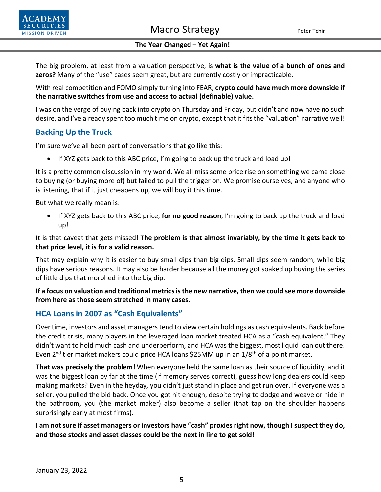



The big problem, at least from a valuation perspective, is **what is the value of a bunch of ones and zeros?** Many of the "use" cases seem great, but are currently costly or impracticable.

With real competition and FOMO simply turning into FEAR, **crypto could have much more downside if the narrative switches from use and access to actual (definable) value.**

I was on the verge of buying back into crypto on Thursday and Friday, but didn't and now have no such desire, and I've already spent too much time on crypto, except that it fits the "valuation" narrative well!

# **Backing Up the Truck**

I'm sure we've all been part of conversations that go like this:

• If XYZ gets back to this ABC price, I'm going to back up the truck and load up!

It is a pretty common discussion in my world. We all miss some price rise on something we came close to buying (or buying more of) but failed to pull the trigger on. We promise ourselves, and anyone who is listening, that if it just cheapens up, we will buy it this time.

But what we really mean is:

• If XYZ gets back to this ABC price, **for no good reason**, I'm going to back up the truck and load up!

It is that caveat that gets missed! **The problem is that almost invariably, by the time it gets back to that price level, it is for a valid reason.**

That may explain why it is easier to buy small dips than big dips. Small dips seem random, while big dips have serious reasons. It may also be harder because all the money got soaked up buying the series of little dips that morphed into the big dip.

## **If a focus on valuation and traditional metrics is the new narrative, then we could see more downside from here as those seem stretched in many cases.**

# **HCA Loans in 2007 as "Cash Equivalents"**

Over time, investors and asset managers tend to view certain holdings as cash equivalents. Back before the credit crisis, many players in the leveraged loan market treated HCA as a "cash equivalent." They didn't want to hold much cash and underperform, and HCA was the biggest, most liquid loan out there. Even  $2^{nd}$  tier market makers could price HCA loans \$25MM up in an  $1/8^{th}$  of a point market.

**That was precisely the problem!** When everyone held the same loan as their source of liquidity, and it was the biggest loan by far at the time (if memory serves correct), guess how long dealers could keep making markets? Even in the heyday, you didn't just stand in place and get run over. If everyone was a seller, you pulled the bid back. Once you got hit enough, despite trying to dodge and weave or hide in the bathroom, you (the market maker) also become a seller (that tap on the shoulder happens surprisingly early at most firms).

**I am not sure if asset managers or investors have "cash" proxies right now, though I suspect they do, and those stocks and asset classes could be the next in line to get sold!**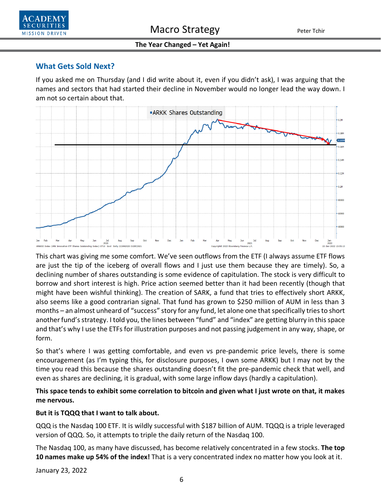

## **What Gets Sold Next?**

If you asked me on Thursday (and I did write about it, even if you didn't ask), I was arguing that the names and sectors that had started their decline in November would no longer lead the way down. I am not so certain about that.



This chart was giving me some comfort. We've seen outflows from the ETF (I always assume ETF flows are just the tip of the iceberg of overall flows and I just use them because they are timely). So, a declining number of shares outstanding is some evidence of capitulation. The stock is very difficult to borrow and short interest is high. Price action seemed better than it had been recently (though that might have been wishful thinking). The creation of SARK, a fund that tries to effectively short ARKK, also seems like a good contrarian signal. That fund has grown to \$250 million of AUM in less than 3 months – an almost unheard of "success" story for any fund, let alone one that specifically tries to short another fund's strategy. I told you, the lines between "fund" and "index" are getting blurry in this space and that's why I use the ETFs for illustration purposes and not passing judgement in any way, shape, or form.

So that's where I was getting comfortable, and even vs pre-pandemic price levels, there is some encouragement (as I'm typing this, for disclosure purposes, I own some ARKK) but I may not by the time you read this because the shares outstanding doesn't fit the pre-pandemic check that well, and even as shares are declining, it is gradual, with some large inflow days (hardly a capitulation).

## **This space tends to exhibit some correlation to bitcoin and given what I just wrote on that, it makes me nervous.**

### **But it is TQQQ that I want to talk about.**

QQQ is the Nasdaq 100 ETF. It is wildly successful with \$187 billion of AUM. TQQQ is a triple leveraged version of QQQ. So, it attempts to triple the daily return of the Nasdaq 100.

The Nasdaq 100, as many have discussed, has become relatively concentrated in a few stocks. **The top 10 names make up 54% of the index!** That is a very concentrated index no matter how you look at it.

January 23, 2022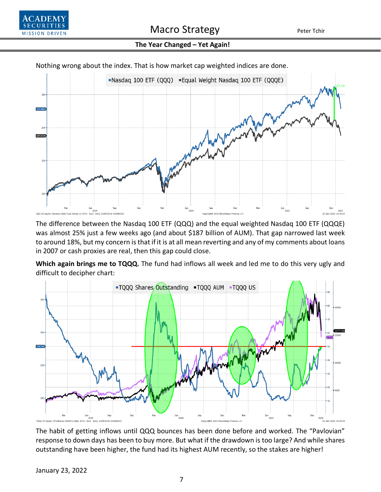



Nothing wrong about the index. That is how market cap weighted indices are done.

The difference between the Nasdaq 100 ETF (QQQ) and the equal weighted Nasdaq 100 ETF (QQQE) was almost 25% just a few weeks ago (and about \$187 billion of AUM). That gap narrowed last week to around 18%, but my concern is that if it is at all mean reverting and any of my comments about loans in 2007 or cash proxies are real, then this gap could close.

**Which again brings me to TQQQ.** The fund had inflows all week and led me to do this very ugly and difficult to decipher chart:



The habit of getting inflows until QQQ bounces has been done before and worked. The "Pavlovian" response to down days has been to buy more. But what if the drawdown is too large? And while shares outstanding have been higher, the fund had its highest AUM recently, so the stakes are higher!

January 23, 2022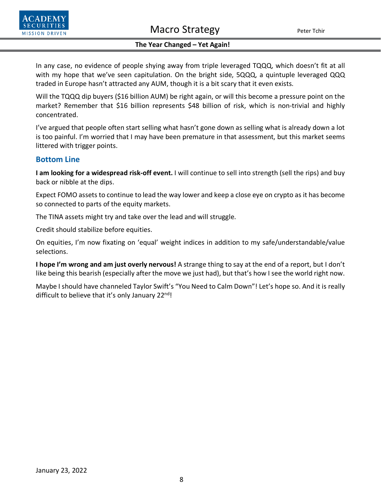

In any case, no evidence of people shying away from triple leveraged TQQQ, which doesn't fit at all with my hope that we've seen capitulation. On the bright side, 5QQQ, a quintuple leveraged QQQ traded in Europe hasn't attracted any AUM, though it is a bit scary that it even exists.

Will the TQQQ dip buyers (\$16 billion AUM) be right again, or will this become a pressure point on the market? Remember that \$16 billion represents \$48 billion of risk, which is non-trivial and highly concentrated.

I've argued that people often start selling what hasn't gone down as selling what is already down a lot is too painful. I'm worried that I may have been premature in that assessment, but this market seems littered with trigger points.

### **Bottom Line**

**I am looking for a widespread risk-off event.** I will continue to sell into strength (sell the rips) and buy back or nibble at the dips.

Expect FOMO assets to continue to lead the way lower and keep a close eye on crypto as it has become so connected to parts of the equity markets.

The TINA assets might try and take over the lead and will struggle.

Credit should stabilize before equities.

On equities, I'm now fixating on 'equal' weight indices in addition to my safe/understandable/value selections.

**I hope I'm wrong and am just overly nervous!** A strange thing to say at the end of a report, but I don't like being this bearish (especially after the move we just had), but that's how I see the world right now.

Maybe I should have channeled Taylor Swift's "You Need to Calm Down"! Let's hope so. And it is really difficult to believe that it's only January 22<sup>nd</sup>!